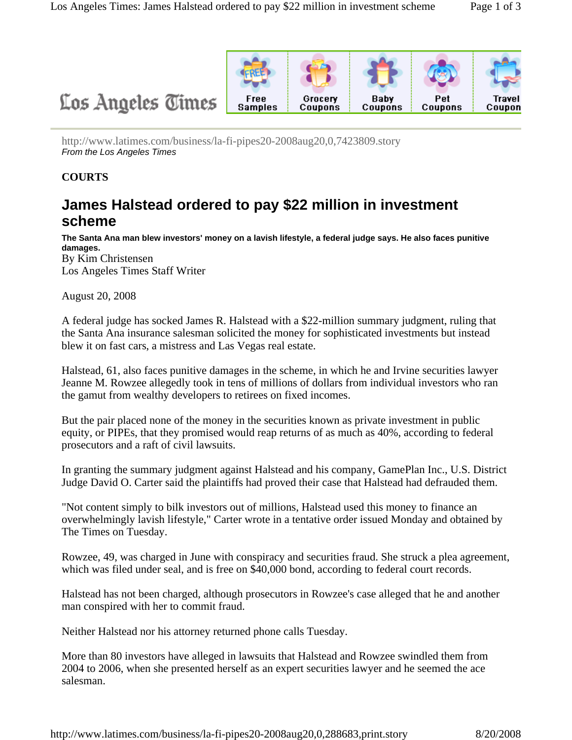

http://www.latimes.com/business/la-fi-pipes20-2008aug20,0,7423809.story *From the Los Angeles Times*

## **COURTS**

## **James Halstead ordered to pay \$22 million in investment scheme**

**The Santa Ana man blew investors' money on a lavish lifestyle, a federal judge says. He also faces punitive damages.**  By Kim Christensen

Los Angeles Times Staff Writer

August 20, 2008

A federal judge has socked James R. Halstead with a \$22-million summary judgment, ruling that the Santa Ana insurance salesman solicited the money for sophisticated investments but instead blew it on fast cars, a mistress and Las Vegas real estate.

Halstead, 61, also faces punitive damages in the scheme, in which he and Irvine securities lawyer Jeanne M. Rowzee allegedly took in tens of millions of dollars from individual investors who ran the gamut from wealthy developers to retirees on fixed incomes.

But the pair placed none of the money in the securities known as private investment in public equity, or PIPEs, that they promised would reap returns of as much as 40%, according to federal prosecutors and a raft of civil lawsuits.

In granting the summary judgment against Halstead and his company, GamePlan Inc., U.S. District Judge David O. Carter said the plaintiffs had proved their case that Halstead had defrauded them.

"Not content simply to bilk investors out of millions, Halstead used this money to finance an overwhelmingly lavish lifestyle," Carter wrote in a tentative order issued Monday and obtained by The Times on Tuesday.

Rowzee, 49, was charged in June with conspiracy and securities fraud. She struck a plea agreement, which was filed under seal, and is free on \$40,000 bond, according to federal court records.

Halstead has not been charged, although prosecutors in Rowzee's case alleged that he and another man conspired with her to commit fraud.

Neither Halstead nor his attorney returned phone calls Tuesday.

More than 80 investors have alleged in lawsuits that Halstead and Rowzee swindled them from 2004 to 2006, when she presented herself as an expert securities lawyer and he seemed the ace salesman.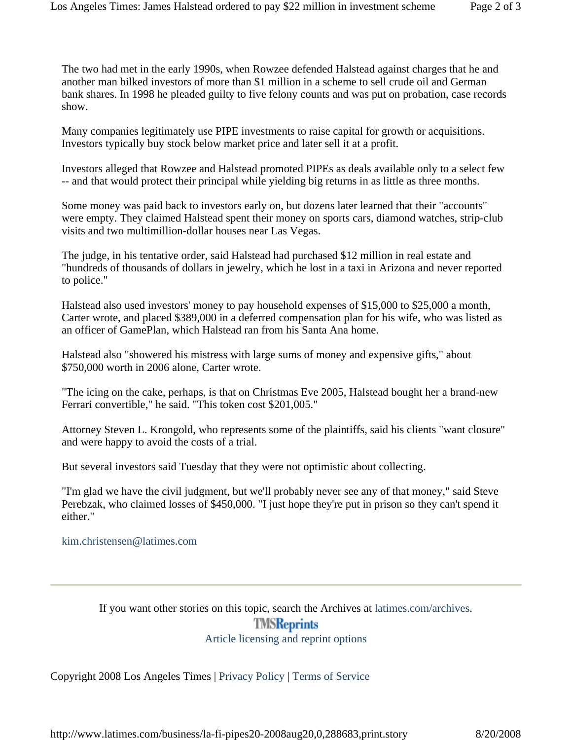The two had met in the early 1990s, when Rowzee defended Halstead against charges that he and another man bilked investors of more than \$1 million in a scheme to sell crude oil and German bank shares. In 1998 he pleaded guilty to five felony counts and was put on probation, case records show.

Many companies legitimately use PIPE investments to raise capital for growth or acquisitions. Investors typically buy stock below market price and later sell it at a profit.

Investors alleged that Rowzee and Halstead promoted PIPEs as deals available only to a select few -- and that would protect their principal while yielding big returns in as little as three months.

Some money was paid back to investors early on, but dozens later learned that their "accounts" were empty. They claimed Halstead spent their money on sports cars, diamond watches, strip-club visits and two multimillion-dollar houses near Las Vegas.

The judge, in his tentative order, said Halstead had purchased \$12 million in real estate and "hundreds of thousands of dollars in jewelry, which he lost in a taxi in Arizona and never reported to police."

Halstead also used investors' money to pay household expenses of \$15,000 to \$25,000 a month, Carter wrote, and placed \$389,000 in a deferred compensation plan for his wife, who was listed as an officer of GamePlan, which Halstead ran from his Santa Ana home.

Halstead also "showered his mistress with large sums of money and expensive gifts," about \$750,000 worth in 2006 alone, Carter wrote.

"The icing on the cake, perhaps, is that on Christmas Eve 2005, Halstead bought her a brand-new Ferrari convertible," he said. "This token cost \$201,005."

Attorney Steven L. Krongold, who represents some of the plaintiffs, said his clients "want closure" and were happy to avoid the costs of a trial.

But several investors said Tuesday that they were not optimistic about collecting.

"I'm glad we have the civil judgment, but we'll probably never see any of that money," said Steve Perebzak, who claimed losses of \$450,000. "I just hope they're put in prison so they can't spend it either."

## kim.christensen@latimes.com

If you want other stories on this topic, search the Archives at latimes.com/archives. **TMSReprints** Article licensing and reprint options

Copyright 2008 Los Angeles Times | Privacy Policy | Terms of Service

http://www.latimes.com/business/la-fi-pipes20-2008aug20,0,288683,print.story 8/20/2008